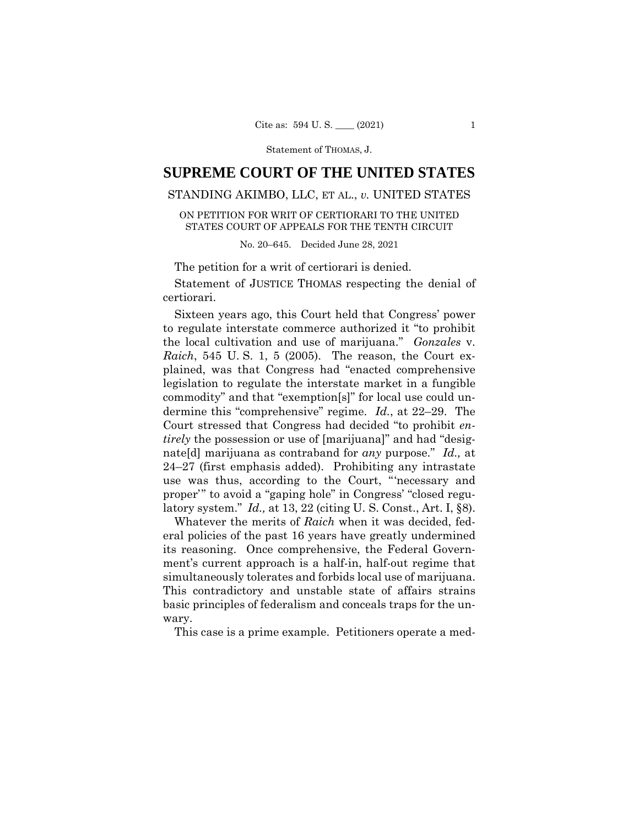# **SUPREME COURT OF THE UNITED STATES**

# STANDING AKIMBO, LLC, ET AL., *v.* UNITED STATES

ON PETITION FOR WRIT OF CERTIORARI TO THE UNITED STATES COURT OF APPEALS FOR THE TENTH CIRCUIT

No. 20–645. Decided June 28, 2021

The petition for a writ of certiorari is denied.

 Statement of JUSTICE THOMAS respecting the denial of certiorari.

Sixteen years ago, this Court held that Congress' power to regulate interstate commerce authorized it "to prohibit the local cultivation and use of marijuana." *Gonzales* v. *Raich*, 545 U. S. 1, 5 (2005). The reason, the Court explained, was that Congress had "enacted comprehensive legislation to regulate the interstate market in a fungible commodity" and that "exemption[s]" for local use could undermine this "comprehensive" regime. *Id.*, at 22–29. The Court stressed that Congress had decided "to prohibit *entirely* the possession or use of [marijuana]" and had "designate[d] marijuana as contraband for *any* purpose." *Id.,* at 24–27 (first emphasis added). Prohibiting any intrastate use was thus, according to the Court, "'necessary and proper'" to avoid a "gaping hole" in Congress' "closed regulatory system." *Id.,* at 13, 22 (citing U. S. Const., Art. I, §8).

Whatever the merits of *Raich* when it was decided, federal policies of the past 16 years have greatly undermined its reasoning. Once comprehensive, the Federal Government's current approach is a half-in, half-out regime that simultaneously tolerates and forbids local use of marijuana. This contradictory and unstable state of affairs strains basic principles of federalism and conceals traps for the unwary.

This case is a prime example. Petitioners operate a med-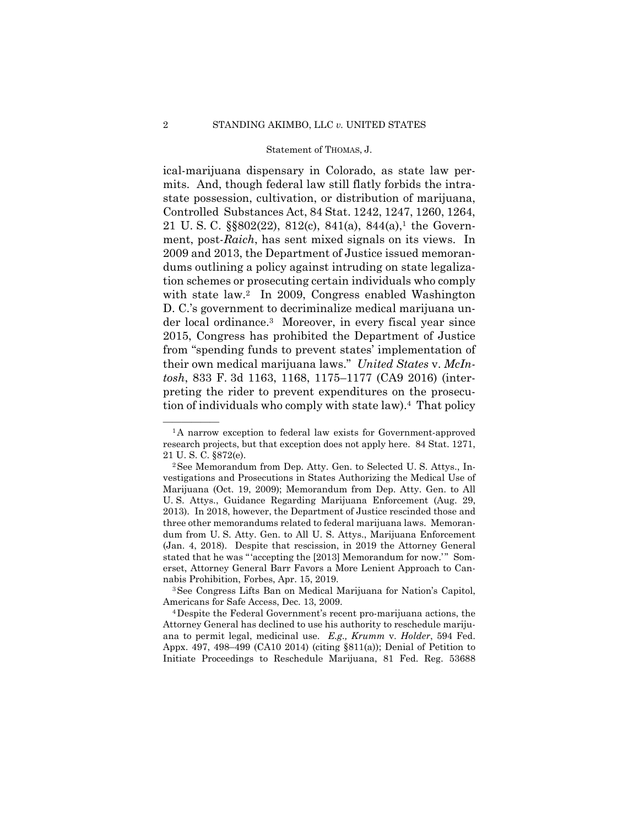der local ordinance.3 Moreover, in every fiscal year since ical-marijuana dispensary in Colorado, as state law permits. And, though federal law still flatly forbids the intrastate possession, cultivation, or distribution of marijuana, Controlled Substances Act, 84 Stat. 1242, 1247, 1260, 1264, 21 U.S.C.  $\S$  $802(22)$ ,  $812(c)$ ,  $841(a)$ ,  $844(a)$ ,<sup>1</sup> the Government, post-*Raich*, has sent mixed signals on its views. In 2009 and 2013, the Department of Justice issued memorandums outlining a policy against intruding on state legalization schemes or prosecuting certain individuals who comply with state law.<sup>2</sup> In 2009, Congress enabled Washington D. C.'s government to decriminalize medical marijuana un-2015, Congress has prohibited the Department of Justice from "spending funds to prevent states' implementation of their own medical marijuana laws." *United States* v. *McIntosh*, 833 F. 3d 1163, 1168, 1175–1177 (CA9 2016) (interpreting the rider to prevent expenditures on the prosecution of individuals who comply with state law).4 That policy

 ${}^{1}$ A narrow exception to federal law exists for Government-approved research projects, but that exception does not apply here. 84 Stat. 1271,

<sup>21</sup> U. S. C. §872(e).<br><sup>2</sup> See Memorandum from Dep. Atty. Gen. to Selected U. S. Attys., Investigations and Prosecutions in States Authorizing the Medical Use of Marijuana (Oct. 19, 2009); Memorandum from Dep. Atty. Gen. to All U. S. Attys., Guidance Regarding Marijuana Enforcement (Aug. 29, 2013). In 2018, however, the Department of Justice rescinded those and three other memorandums related to federal marijuana laws. Memorandum from U. S. Atty. Gen. to All U. S. Attys., Marijuana Enforcement (Jan. 4, 2018). Despite that rescission, in 2019 the Attorney General stated that he was "'accepting the [2013] Memorandum for now.'" Somerset, Attorney General Barr Favors a More Lenient Approach to Can-

nabis Prohibition, Forbes, Apr. 15, 2019.<br><sup>3</sup>See Congress Lifts Ban on Medical Marijuana for Nation's Capitol, Americans for Safe Access, Dec. 13, 2009.<br><sup>4</sup>Despite the Federal Government's recent pro-marijuana actions, the

Attorney General has declined to use his authority to reschedule marijuana to permit legal, medicinal use. *E.g., Krumm* v. *Holder*, 594 Fed. Appx. 497, 498–499 (CA10 2014) (citing §811(a)); Denial of Petition to Initiate Proceedings to Reschedule Marijuana, 81 Fed. Reg. 53688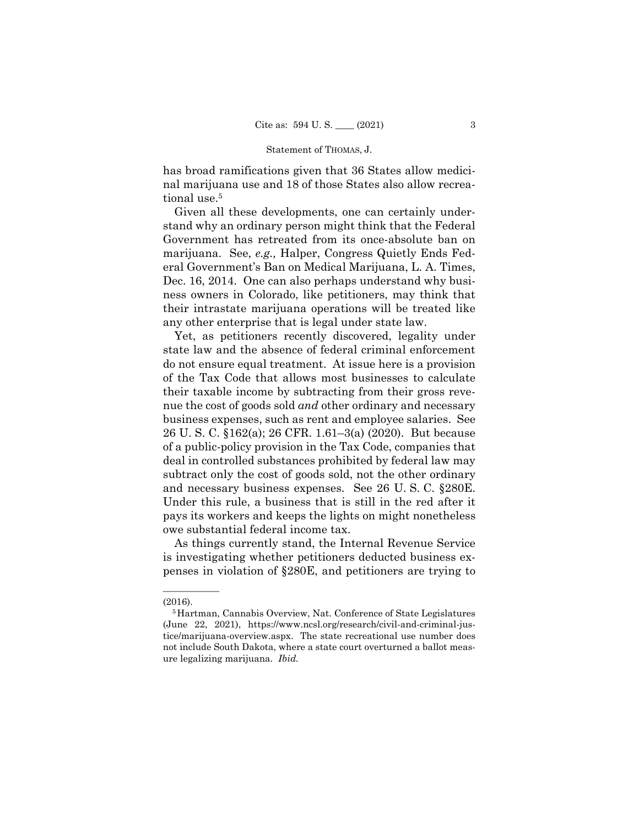has broad ramifications given that 36 States allow medicinal marijuana use and 18 of those States also allow recreational use.<sup>5</sup>

Given all these developments, one can certainly understand why an ordinary person might think that the Federal Government has retreated from its once-absolute ban on marijuana. See, *e.g.,* Halper, Congress Quietly Ends Federal Government's Ban on Medical Marijuana, L. A. Times, Dec. 16, 2014. One can also perhaps understand why business owners in Colorado, like petitioners, may think that their intrastate marijuana operations will be treated like any other enterprise that is legal under state law.

Yet, as petitioners recently discovered, legality under state law and the absence of federal criminal enforcement do not ensure equal treatment. At issue here is a provision of the Tax Code that allows most businesses to calculate their taxable income by subtracting from their gross revenue the cost of goods sold *and* other ordinary and necessary business expenses, such as rent and employee salaries. See 26 U. S. C. §162(a); 26 CFR. 1.61–3(a) (2020). But because of a public-policy provision in the Tax Code, companies that deal in controlled substances prohibited by federal law may subtract only the cost of goods sold, not the other ordinary and necessary business expenses. See 26 U. S. C. §280E. Under this rule, a business that is still in the red after it pays its workers and keeps the lights on might nonetheless owe substantial federal income tax.

As things currently stand, the Internal Revenue Service is investigating whether petitioners deducted business expenses in violation of §280E, and petitioners are trying to

——————

<sup>(2016). 5</sup>Hartman, Cannabis Overview, Nat. Conference of State Legislatures (June 22, 2021), https://www.ncsl.org/research/civil-and-criminal-justice/marijuana-overview.aspx. The state recreational use number does not include South Dakota, where a state court overturned a ballot measure legalizing marijuana. *Ibid.*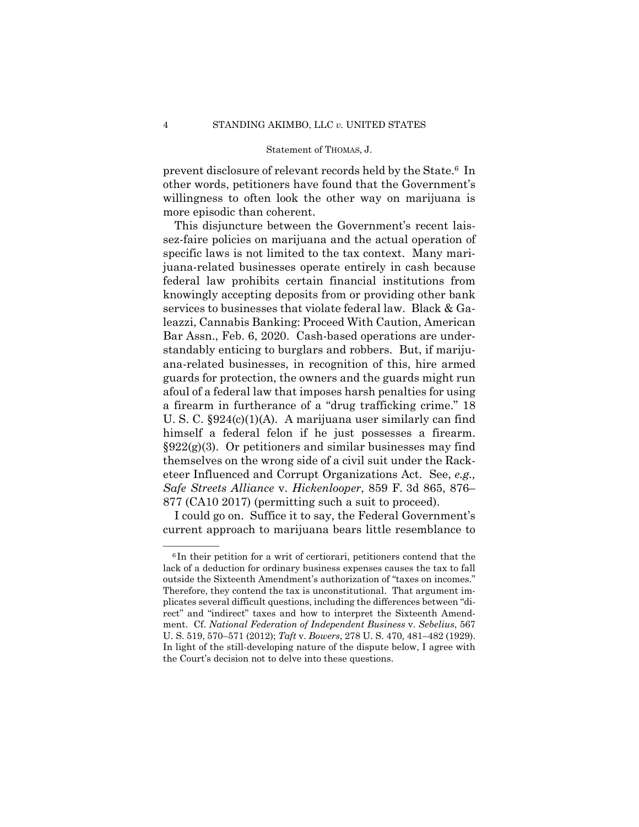prevent disclosure of relevant records held by the State.6 In other words, petitioners have found that the Government's willingness to often look the other way on marijuana is more episodic than coherent.

This disjuncture between the Government's recent laissez-faire policies on marijuana and the actual operation of specific laws is not limited to the tax context. Many marijuana-related businesses operate entirely in cash because federal law prohibits certain financial institutions from knowingly accepting deposits from or providing other bank services to businesses that violate federal law. Black & Galeazzi, Cannabis Banking: Proceed With Caution, American Bar Assn., Feb. 6, 2020. Cash-based operations are understandably enticing to burglars and robbers. But, if marijuana-related businesses, in recognition of this, hire armed guards for protection, the owners and the guards might run afoul of a federal law that imposes harsh penalties for using a firearm in furtherance of a "drug trafficking crime." 18 U. S. C. §924(c)(1)(A). A marijuana user similarly can find himself a federal felon if he just possesses a firearm.  $\S 922(g)(3)$ . Or petitioners and similar businesses may find themselves on the wrong side of a civil suit under the Racketeer Influenced and Corrupt Organizations Act. See, *e.g., Safe Streets Alliance* v. *Hickenlooper*, 859 F. 3d 865, 876– 877 (CA10 2017) (permitting such a suit to proceed).

I could go on. Suffice it to say, the Federal Government's current approach to marijuana bears little resemblance to

 $6$ In their petition for a writ of certiorari, petitioners contend that the lack of a deduction for ordinary business expenses causes the tax to fall outside the Sixteenth Amendment's authorization of "taxes on incomes." Therefore, they contend the tax is unconstitutional. That argument implicates several difficult questions, including the differences between "direct" and "indirect" taxes and how to interpret the Sixteenth Amendment. Cf. *National Federation of Independent Business* v. *Sebelius*, 567 U. S. 519, 570–571 (2012); *Taft* v. *Bowers*, 278 U. S. 470, 481–482 (1929). In light of the still-developing nature of the dispute below, I agree with the Court's decision not to delve into these questions.